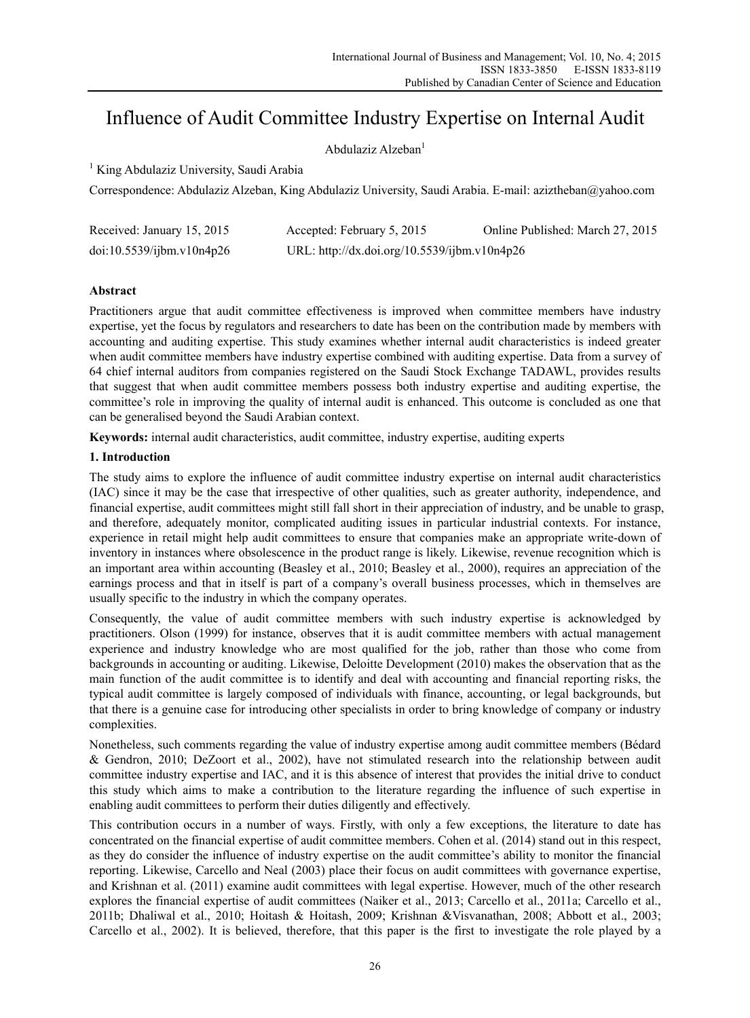# Influence of Audit Committee Industry Expertise on Internal Audit

Abdulaziz Alzeban<sup>1</sup>

<sup>1</sup> King Abdulaziz University, Saudi Arabia

Correspondence: Abdulaziz Alzeban, King Abdulaziz University, Saudi Arabia. E-mail: aziztheban@yahoo.com

| Received: January 15, 2015 | Accepted: February 5, 2015                   | Online Published: March 27, 2015 |
|----------------------------|----------------------------------------------|----------------------------------|
| doi:10.5539/ijbm.v10n4p26  | URL: http://dx.doi.org/10.5539/ijbm.v10n4p26 |                                  |

# **Abstract**

Practitioners argue that audit committee effectiveness is improved when committee members have industry expertise, yet the focus by regulators and researchers to date has been on the contribution made by members with accounting and auditing expertise. This study examines whether internal audit characteristics is indeed greater when audit committee members have industry expertise combined with auditing expertise. Data from a survey of 64 chief internal auditors from companies registered on the Saudi Stock Exchange TADAWL, provides results that suggest that when audit committee members possess both industry expertise and auditing expertise, the committee's role in improving the quality of internal audit is enhanced. This outcome is concluded as one that can be generalised beyond the Saudi Arabian context.

**Keywords:** internal audit characteristics, audit committee, industry expertise, auditing experts

# **1. Introduction**

The study aims to explore the influence of audit committee industry expertise on internal audit characteristics (IAC) since it may be the case that irrespective of other qualities, such as greater authority, independence, and financial expertise, audit committees might still fall short in their appreciation of industry, and be unable to grasp, and therefore, adequately monitor, complicated auditing issues in particular industrial contexts. For instance, experience in retail might help audit committees to ensure that companies make an appropriate write-down of inventory in instances where obsolescence in the product range is likely. Likewise, revenue recognition which is an important area within accounting (Beasley et al., 2010; Beasley et al., 2000), requires an appreciation of the earnings process and that in itself is part of a company's overall business processes, which in themselves are usually specific to the industry in which the company operates.

Consequently, the value of audit committee members with such industry expertise is acknowledged by practitioners. Olson (1999) for instance, observes that it is audit committee members with actual management experience and industry knowledge who are most qualified for the job, rather than those who come from backgrounds in accounting or auditing. Likewise, Deloitte Development (2010) makes the observation that as the main function of the audit committee is to identify and deal with accounting and financial reporting risks, the typical audit committee is largely composed of individuals with finance, accounting, or legal backgrounds, but that there is a genuine case for introducing other specialists in order to bring knowledge of company or industry complexities.

Nonetheless, such comments regarding the value of industry expertise among audit committee members (Bédard & Gendron, 2010; DeZoort et al., 2002), have not stimulated research into the relationship between audit committee industry expertise and IAC, and it is this absence of interest that provides the initial drive to conduct this study which aims to make a contribution to the literature regarding the influence of such expertise in enabling audit committees to perform their duties diligently and effectively.

This contribution occurs in a number of ways. Firstly, with only a few exceptions, the literature to date has concentrated on the financial expertise of audit committee members. Cohen et al. (2014) stand out in this respect, as they do consider the influence of industry expertise on the audit committee's ability to monitor the financial reporting. Likewise, Carcello and Neal (2003) place their focus on audit committees with governance expertise, and Krishnan et al. (2011) examine audit committees with legal expertise. However, much of the other research explores the financial expertise of audit committees (Naiker et al., 2013; Carcello et al., 2011a; Carcello et al., 2011b; Dhaliwal et al., 2010; Hoitash & Hoitash, 2009; Krishnan &Visvanathan, 2008; Abbott et al., 2003; Carcello et al., 2002). It is believed, therefore, that this paper is the first to investigate the role played by a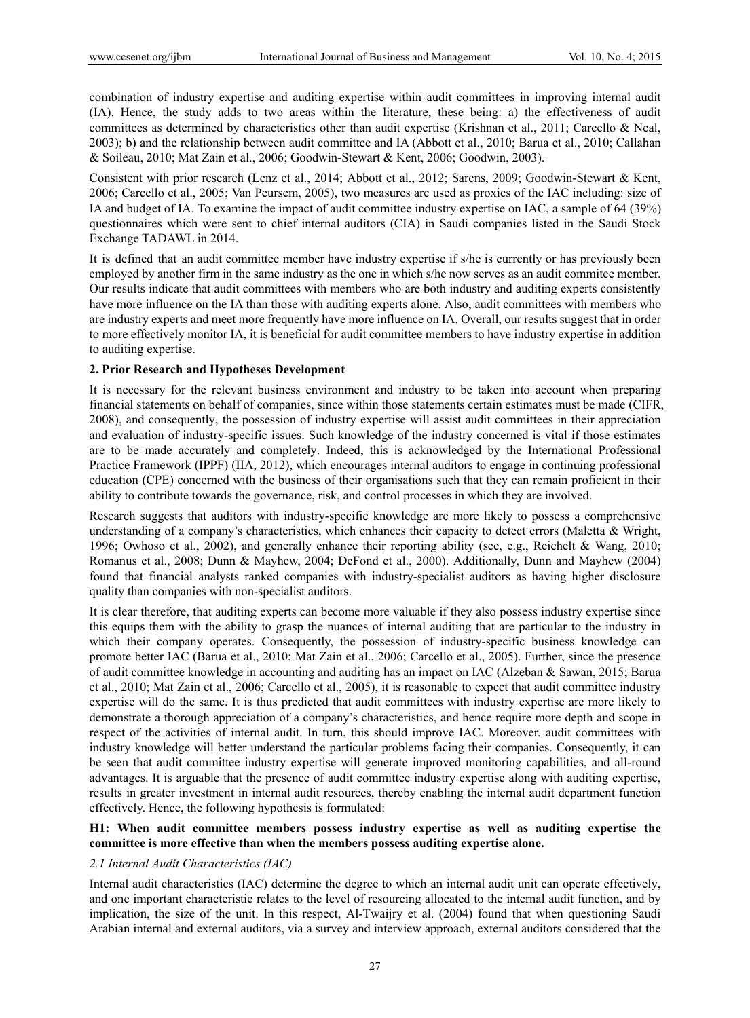combination of industry expertise and auditing expertise within audit committees in improving internal audit (IA). Hence, the study adds to two areas within the literature, these being: a) the effectiveness of audit committees as determined by characteristics other than audit expertise (Krishnan et al., 2011; Carcello & Neal, 2003); b) and the relationship between audit committee and IA (Abbott et al., 2010; Barua et al., 2010; Callahan & Soileau, 2010; Mat Zain et al., 2006; Goodwin-Stewart & Kent, 2006; Goodwin, 2003).

Consistent with prior research (Lenz et al., 2014; Abbott et al., 2012; Sarens, 2009; Goodwin-Stewart & Kent, 2006; Carcello et al., 2005; Van Peursem, 2005), two measures are used as proxies of the IAC including: size of IA and budget of IA. To examine the impact of audit committee industry expertise on IAC, a sample of 64 (39%) questionnaires which were sent to chief internal auditors (CIA) in Saudi companies listed in the Saudi Stock Exchange TADAWL in 2014.

It is defined that an audit committee member have industry expertise if s/he is currently or has previously been employed by another firm in the same industry as the one in which s/he now serves as an audit commitee member. Our results indicate that audit committees with members who are both industry and auditing experts consistently have more influence on the IA than those with auditing experts alone. Also, audit committees with members who are industry experts and meet more frequently have more influence on IA. Overall, our results suggest that in order to more effectively monitor IA, it is beneficial for audit committee members to have industry expertise in addition to auditing expertise.

## **2. Prior Research and Hypotheses Development**

It is necessary for the relevant business environment and industry to be taken into account when preparing financial statements on behalf of companies, since within those statements certain estimates must be made (CIFR, 2008), and consequently, the possession of industry expertise will assist audit committees in their appreciation and evaluation of industry-specific issues. Such knowledge of the industry concerned is vital if those estimates are to be made accurately and completely. Indeed, this is acknowledged by the International Professional Practice Framework (IPPF) (IIA, 2012), which encourages internal auditors to engage in continuing professional education (CPE) concerned with the business of their organisations such that they can remain proficient in their ability to contribute towards the governance, risk, and control processes in which they are involved.

Research suggests that auditors with industry-specific knowledge are more likely to possess a comprehensive understanding of a company's characteristics, which enhances their capacity to detect errors (Maletta & Wright, 1996; Owhoso et al., 2002), and generally enhance their reporting ability (see, e.g., Reichelt & Wang, 2010; Romanus et al., 2008; Dunn & Mayhew, 2004; DeFond et al., 2000). Additionally, Dunn and Mayhew (2004) found that financial analysts ranked companies with industry-specialist auditors as having higher disclosure quality than companies with non-specialist auditors.

It is clear therefore, that auditing experts can become more valuable if they also possess industry expertise since this equips them with the ability to grasp the nuances of internal auditing that are particular to the industry in which their company operates. Consequently, the possession of industry-specific business knowledge can promote better IAC (Barua et al., 2010; Mat Zain et al., 2006; Carcello et al., 2005). Further, since the presence of audit committee knowledge in accounting and auditing has an impact on IAC (Alzeban & Sawan, 2015; Barua et al., 2010; Mat Zain et al., 2006; Carcello et al., 2005), it is reasonable to expect that audit committee industry expertise will do the same. It is thus predicted that audit committees with industry expertise are more likely to demonstrate a thorough appreciation of a company's characteristics, and hence require more depth and scope in respect of the activities of internal audit. In turn, this should improve IAC. Moreover, audit committees with industry knowledge will better understand the particular problems facing their companies. Consequently, it can be seen that audit committee industry expertise will generate improved monitoring capabilities, and all-round advantages. It is arguable that the presence of audit committee industry expertise along with auditing expertise, results in greater investment in internal audit resources, thereby enabling the internal audit department function effectively. Hence, the following hypothesis is formulated:

# **H1: When audit committee members possess industry expertise as well as auditing expertise the committee is more effective than when the members possess auditing expertise alone.**

## *2.1 Internal Audit Characteristics (IAC)*

Internal audit characteristics (IAC) determine the degree to which an internal audit unit can operate effectively, and one important characteristic relates to the level of resourcing allocated to the internal audit function, and by implication, the size of the unit. In this respect, Al-Twaijry et al. (2004) found that when questioning Saudi Arabian internal and external auditors, via a survey and interview approach, external auditors considered that the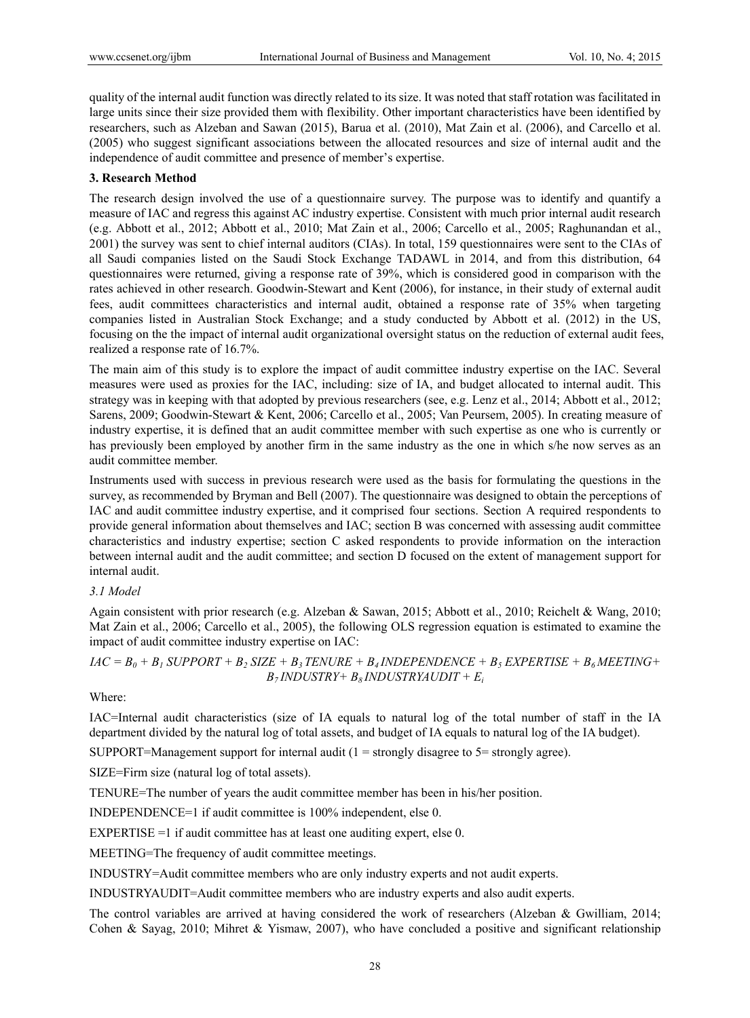quality of the internal audit function was directly related to its size. It was noted that staff rotation was facilitated in large units since their size provided them with flexibility. Other important characteristics have been identified by researchers, such as Alzeban and Sawan (2015), Barua et al. (2010), Mat Zain et al. (2006), and Carcello et al. (2005) who suggest significant associations between the allocated resources and size of internal audit and the independence of audit committee and presence of member's expertise.

### **3. Research Method**

The research design involved the use of a questionnaire survey. The purpose was to identify and quantify a measure of IAC and regress this against AC industry expertise. Consistent with much prior internal audit research (e.g. Abbott et al., 2012; Abbott et al., 2010; Mat Zain et al., 2006; Carcello et al., 2005; Raghunandan et al., 2001) the survey was sent to chief internal auditors (CIAs). In total, 159 questionnaires were sent to the CIAs of all Saudi companies listed on the Saudi Stock Exchange TADAWL in 2014, and from this distribution, 64 questionnaires were returned, giving a response rate of 39%, which is considered good in comparison with the rates achieved in other research. Goodwin-Stewart and Kent (2006), for instance, in their study of external audit fees, audit committees characteristics and internal audit, obtained a response rate of 35% when targeting companies listed in Australian Stock Exchange; and a study conducted by Abbott et al. (2012) in the US, focusing on the the impact of internal audit organizational oversight status on the reduction of external audit fees, realized a response rate of 16.7%.

The main aim of this study is to explore the impact of audit committee industry expertise on the IAC. Several measures were used as proxies for the IAC, including: size of IA, and budget allocated to internal audit. This strategy was in keeping with that adopted by previous researchers (see, e.g. Lenz et al., 2014; Abbott et al., 2012; Sarens, 2009; Goodwin-Stewart & Kent, 2006; Carcello et al., 2005; Van Peursem, 2005). In creating measure of industry expertise, it is defined that an audit committee member with such expertise as one who is currently or has previously been employed by another firm in the same industry as the one in which s/he now serves as an audit committee member.

Instruments used with success in previous research were used as the basis for formulating the questions in the survey, as recommended by Bryman and Bell (2007). The questionnaire was designed to obtain the perceptions of IAC and audit committee industry expertise, and it comprised four sections. Section A required respondents to provide general information about themselves and IAC; section B was concerned with assessing audit committee characteristics and industry expertise; section C asked respondents to provide information on the interaction between internal audit and the audit committee; and section D focused on the extent of management support for internal audit.

# *3.1 Model*

Again consistent with prior research (e.g. Alzeban & Sawan, 2015; Abbott et al., 2010; Reichelt & Wang, 2010; Mat Zain et al., 2006; Carcello et al., 2005), the following OLS regression equation is estimated to examine the impact of audit committee industry expertise on IAC:

 $IAC = B_0 + B_1$  SUPPORT +  $B_2$  SIZE +  $B_3$  TENURE +  $B_4$  INDEPENDENCE +  $B_5$  EXPERTISE +  $B_6$  MEETING +  $B_7$  *INDUSTRY+ B<sub>8</sub> INDUSTRYAUDIT + E<sub>i</sub>* 

### Where:

IAC=Internal audit characteristics (size of IA equals to natural log of the total number of staff in the IA department divided by the natural log of total assets, and budget of IA equals to natural log of the IA budget).

SUPPORT=Management support for internal audit  $(1 =$  strongly disagree to  $5 =$  strongly agree).

SIZE=Firm size (natural log of total assets).

TENURE=The number of years the audit committee member has been in his/her position.

INDEPENDENCE=1 if audit committee is 100% independent, else 0.

EXPERTISE =1 if audit committee has at least one auditing expert, else 0.

MEETING=The frequency of audit committee meetings.

INDUSTRY=Audit committee members who are only industry experts and not audit experts.

INDUSTRYAUDIT=Audit committee members who are industry experts and also audit experts.

The control variables are arrived at having considered the work of researchers (Alzeban & Gwilliam, 2014; Cohen & Sayag, 2010; Mihret & Yismaw, 2007), who have concluded a positive and significant relationship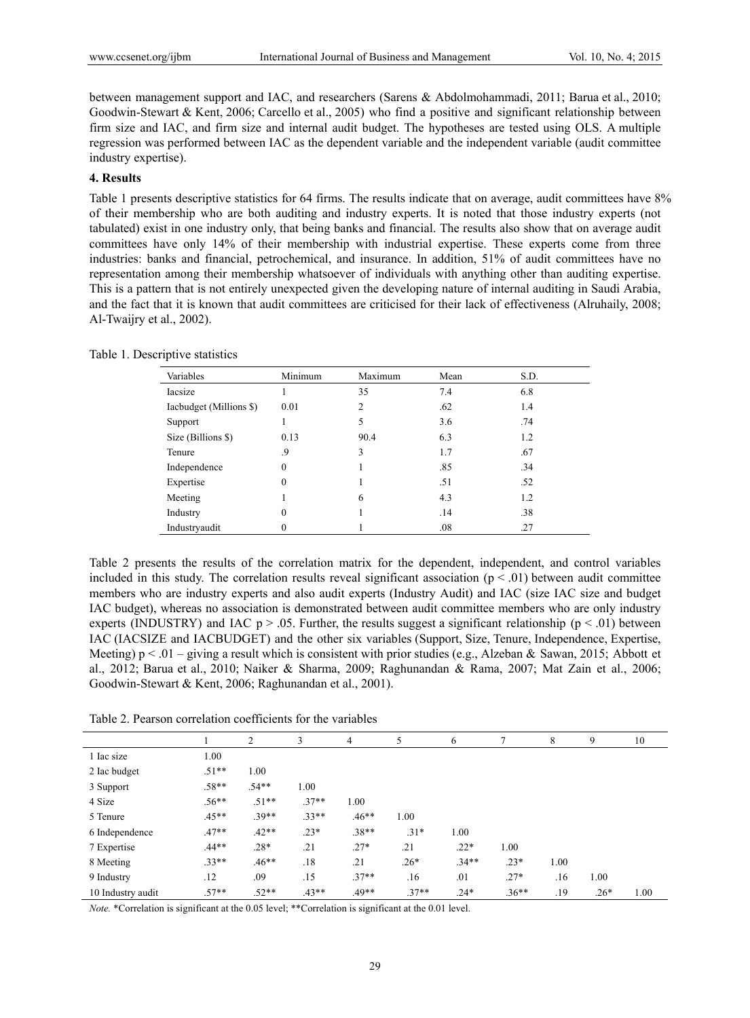between management support and IAC, and researchers (Sarens & Abdolmohammadi, 2011; Barua et al., 2010; Goodwin-Stewart & Kent, 2006; Carcello et al., 2005) who find a positive and significant relationship between firm size and IAC, and firm size and internal audit budget. The hypotheses are tested using OLS. A multiple regression was performed between IAC as the dependent variable and the independent variable (audit committee industry expertise).

#### **4. Results**

Table 1 presents descriptive statistics for 64 firms. The results indicate that on average, audit committees have 8% of their membership who are both auditing and industry experts. It is noted that those industry experts (not tabulated) exist in one industry only, that being banks and financial. The results also show that on average audit committees have only 14% of their membership with industrial expertise. These experts come from three industries: banks and financial, petrochemical, and insurance. In addition, 51% of audit committees have no representation among their membership whatsoever of individuals with anything other than auditing expertise. This is a pattern that is not entirely unexpected given the developing nature of internal auditing in Saudi Arabia, and the fact that it is known that audit committees are criticised for their lack of effectiveness (Alruhaily, 2008; Al-Twaijry et al., 2002).

| Variables               | Minimum  | Maximum | Mean | S.D. |
|-------------------------|----------|---------|------|------|
| Iacsize                 |          | 35      | 7.4  | 6.8  |
| Iacbudget (Millions \$) | 0.01     | 2       | .62  | 1.4  |
| Support                 |          | 5       | 3.6  | .74  |
| Size (Billions \$)      | 0.13     | 90.4    | 6.3  | 1.2  |
| Tenure                  | 9.       | 3       | 1.7  | .67  |
| Independence            | $\theta$ |         | .85  | .34  |
| Expertise               | 0        |         | .51  | .52  |
| Meeting                 |          | 6       | 4.3  | 1.2  |
| Industry                | 0        |         | .14  | .38  |
| Industryaudit           |          |         | .08  | .27  |

Table 1. Descriptive statistics

Table 2 presents the results of the correlation matrix for the dependent, independent, and control variables included in this study. The correlation results reveal significant association ( $p < .01$ ) between audit committee members who are industry experts and also audit experts (Industry Audit) and IAC (size IAC size and budget IAC budget), whereas no association is demonstrated between audit committee members who are only industry experts (INDUSTRY) and IAC  $p > .05$ . Further, the results suggest a significant relationship ( $p < .01$ ) between IAC (IACSIZE and IACBUDGET) and the other six variables (Support, Size, Tenure, Independence, Expertise, Meeting)  $p < 0.01 -$  giving a result which is consistent with prior studies (e.g., Alzeban & Sawan, 2015; Abbott et al., 2012; Barua et al., 2010; Naiker & Sharma, 2009; Raghunandan & Rama, 2007; Mat Zain et al., 2006; Goodwin-Stewart & Kent, 2006; Raghunandan et al., 2001).

Table 2. Pearson correlation coefficients for the variables

|                   |         | 2       | 3       | $\overline{4}$ | 5       | 6       |         | 8    | 9      | 10   |  |
|-------------------|---------|---------|---------|----------------|---------|---------|---------|------|--------|------|--|
| 1 Iac size        | 1.00    |         |         |                |         |         |         |      |        |      |  |
| 2 Iac budget      | $.51**$ | 1.00    |         |                |         |         |         |      |        |      |  |
| 3 Support         | $.58**$ | $.54**$ | 1.00    |                |         |         |         |      |        |      |  |
| 4 Size            | $.56**$ | $.51**$ | $.37**$ | 1.00           |         |         |         |      |        |      |  |
| 5 Tenure          | $.45**$ | $.39**$ | $.33**$ | $.46**$        | 1.00    |         |         |      |        |      |  |
| 6 Independence    | $.47**$ | $.42**$ | $.23*$  | $.38**$        | $.31*$  | 1.00    |         |      |        |      |  |
| 7 Expertise       | $.44**$ | $.28*$  | .21     | $.27*$         | .21     | $.22*$  | 1.00    |      |        |      |  |
| 8 Meeting         | $.33**$ | $.46**$ | .18     | .21            | $.26*$  | $.34**$ | $.23*$  | 1.00 |        |      |  |
| 9 Industry        | .12     | .09     | .15     | $.37**$        | .16     | .01     | $.27*$  | .16  | 1.00   |      |  |
| 10 Industry audit | $.57**$ | $.52**$ | $.43**$ | .49**          | $.37**$ | $.24*$  | $.36**$ | .19  | $.26*$ | 1.00 |  |

*Note.* \*Correlation is significant at the 0.05 level; \*\*Correlation is significant at the 0.01 level.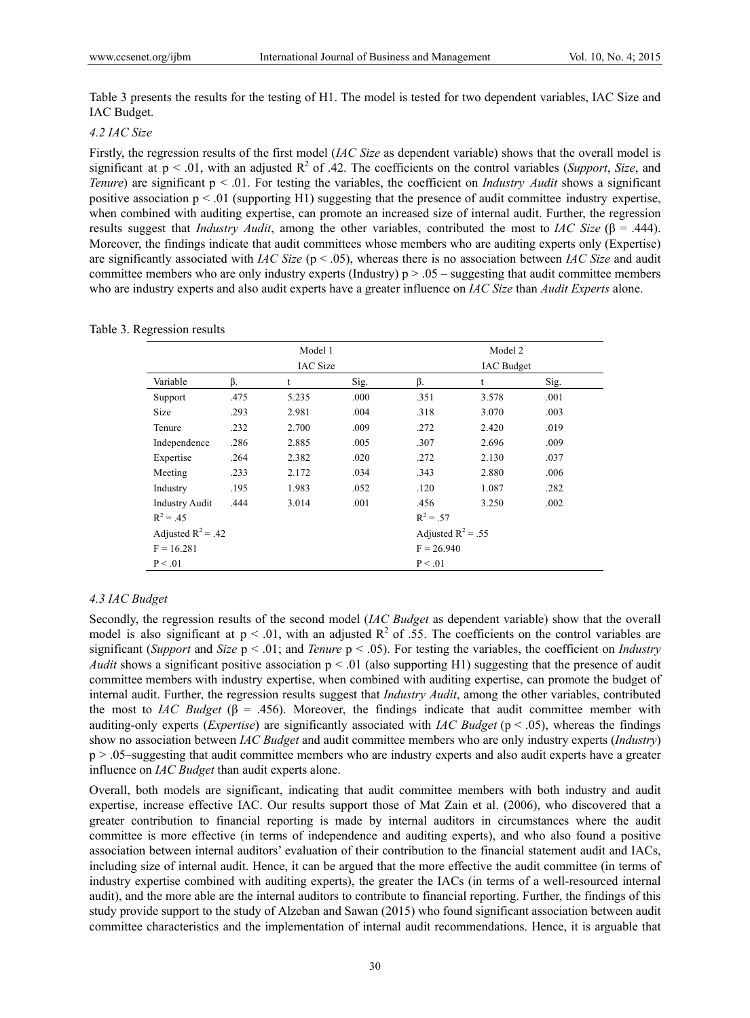Table 3 presents the results for the testing of H1. The model is tested for two dependent variables, IAC Size and IAC Budget.

# *4.2 IAC Size*

Firstly, the regression results of the first model (*IAC Size* as dependent variable) shows that the overall model is significant at  $p < .01$ , with an adjusted  $R^2$  of .42. The coefficients on the control variables (*Support*, *Size*, and *Tenure*) are significant p < .01. For testing the variables, the coefficient on *Industry Audit* shows a significant positive association  $p < 0.01$  (supporting H1) suggesting that the presence of audit committee industry expertise, when combined with auditing expertise, can promote an increased size of internal audit. Further, the regression results suggest that *Industry Audit*, among the other variables, contributed the most to *IAC Size* (β = .444). Moreover, the findings indicate that audit committees whose members who are auditing experts only (Expertise) are significantly associated with *IAC Size* (p < .05), whereas there is no association between *IAC Size* and audit committee members who are only industry experts (Industry)  $p > 0.05$  – suggesting that audit committee members who are industry experts and also audit experts have a greater influence on *IAC Size* than *Audit Experts* alone.

#### Table 3. Regression results

|                       | Model 1<br><b>IAC</b> Size |       |      |                      | Model 2<br><b>IAC</b> Budget |      |  |  |
|-----------------------|----------------------------|-------|------|----------------------|------------------------------|------|--|--|
|                       |                            |       |      |                      |                              |      |  |  |
| Variable              | β.                         | t     | Sig. | β.                   | t                            | Sig. |  |  |
| Support               | .475                       | 5.235 | .000 | .351                 | 3.578                        | .001 |  |  |
| Size                  | .293                       | 2.981 | .004 | .318                 | 3.070                        | .003 |  |  |
| Tenure                | .232                       | 2.700 | .009 | .272                 | 2.420                        | .019 |  |  |
| Independence          | .286                       | 2.885 | .005 | .307                 | 2.696                        | .009 |  |  |
| Expertise             | .264                       | 2.382 | .020 | .272                 | 2.130                        | .037 |  |  |
| Meeting               | .233                       | 2.172 | .034 | .343                 | 2.880                        | .006 |  |  |
| Industry              | .195                       | 1.983 | .052 | .120                 | 1.087                        | .282 |  |  |
| <b>Industry Audit</b> | .444                       | 3.014 | .001 | .456                 | 3.250                        | .002 |  |  |
| $R^2 = .45$           |                            |       |      | $R^2 = .57$          |                              |      |  |  |
| Adjusted $R^2$ = .42  |                            |       |      | Adjusted $R^2$ = .55 |                              |      |  |  |
| $F = 16.281$          | $F = 26.940$               |       |      |                      |                              |      |  |  |
| P < 0.01              |                            |       |      | P < 0.01             |                              |      |  |  |

## *4.3 IAC Budget*

Secondly, the regression results of the second model (*IAC Budget* as dependent variable) show that the overall model is also significant at  $p < .01$ , with an adjusted  $R^2$  of .55. The coefficients on the control variables are significant (*Support* and *Size* p < .01; and *Tenure* p < .05). For testing the variables, the coefficient on *Industry Audit* shows a significant positive association  $p < 0.01$  (also supporting H1) suggesting that the presence of audit committee members with industry expertise, when combined with auditing expertise, can promote the budget of internal audit. Further, the regression results suggest that *Industry Audit*, among the other variables, contributed the most to *IAC Budget* ( $\beta$  = .456). Moreover, the findings indicate that audit committee member with auditing-only experts (*Expertise*) are significantly associated with *IAC Budget* (p < .05), whereas the findings show no association between *IAC Budget* and audit committee members who are only industry experts (*Industry*) p > .05–suggesting that audit committee members who are industry experts and also audit experts have a greater influence on *IAC Budget* than audit experts alone.

Overall, both models are significant, indicating that audit committee members with both industry and audit expertise, increase effective IAC. Our results support those of Mat Zain et al. (2006), who discovered that a greater contribution to financial reporting is made by internal auditors in circumstances where the audit committee is more effective (in terms of independence and auditing experts), and who also found a positive association between internal auditors' evaluation of their contribution to the financial statement audit and IACs, including size of internal audit. Hence, it can be argued that the more effective the audit committee (in terms of industry expertise combined with auditing experts), the greater the IACs (in terms of a well-resourced internal audit), and the more able are the internal auditors to contribute to financial reporting. Further, the findings of this study provide support to the study of Alzeban and Sawan (2015) who found significant association between audit committee characteristics and the implementation of internal audit recommendations. Hence, it is arguable that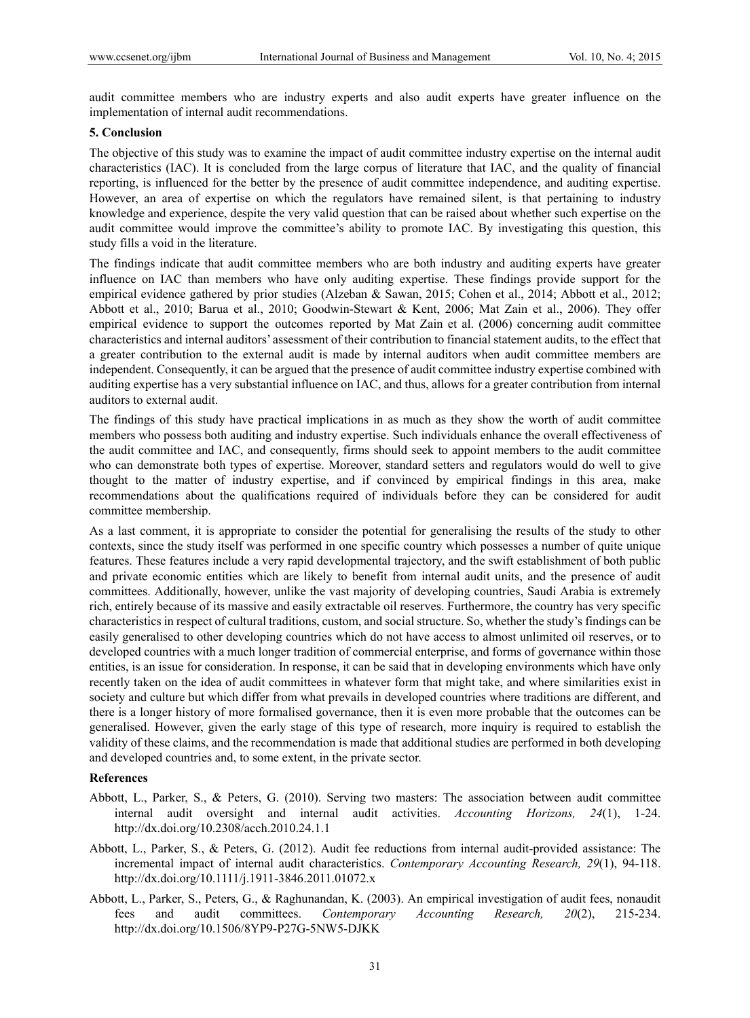audit committee members who are industry experts and also audit experts have greater influence on the implementation of internal audit recommendations.

#### **5. Conclusion**

The objective of this study was to examine the impact of audit committee industry expertise on the internal audit characteristics (IAC). It is concluded from the large corpus of literature that IAC, and the quality of financial reporting, is influenced for the better by the presence of audit committee independence, and auditing expertise. However, an area of expertise on which the regulators have remained silent, is that pertaining to industry knowledge and experience, despite the very valid question that can be raised about whether such expertise on the audit committee would improve the committee's ability to promote IAC. By investigating this question, this study fills a void in the literature.

The findings indicate that audit committee members who are both industry and auditing experts have greater influence on IAC than members who have only auditing expertise. These findings provide support for the empirical evidence gathered by prior studies (Alzeban & Sawan, 2015; Cohen et al., 2014; Abbott et al., 2012; Abbott et al., 2010; Barua et al., 2010; Goodwin-Stewart & Kent, 2006; Mat Zain et al., 2006). They offer empirical evidence to support the outcomes reported by Mat Zain et al. (2006) concerning audit committee characteristics and internal auditors' assessment of their contribution to financial statement audits, to the effect that a greater contribution to the external audit is made by internal auditors when audit committee members are independent. Consequently, it can be argued that the presence of audit committee industry expertise combined with auditing expertise has a very substantial influence on IAC, and thus, allows for a greater contribution from internal auditors to external audit.

The findings of this study have practical implications in as much as they show the worth of audit committee members who possess both auditing and industry expertise. Such individuals enhance the overall effectiveness of the audit committee and IAC, and consequently, firms should seek to appoint members to the audit committee who can demonstrate both types of expertise. Moreover, standard setters and regulators would do well to give thought to the matter of industry expertise, and if convinced by empirical findings in this area, make recommendations about the qualifications required of individuals before they can be considered for audit committee membership.

As a last comment, it is appropriate to consider the potential for generalising the results of the study to other contexts, since the study itself was performed in one specific country which possesses a number of quite unique features. These features include a very rapid developmental trajectory, and the swift establishment of both public and private economic entities which are likely to benefit from internal audit units, and the presence of audit committees. Additionally, however, unlike the vast majority of developing countries, Saudi Arabia is extremely rich, entirely because of its massive and easily extractable oil reserves. Furthermore, the country has very specific characteristics in respect of cultural traditions, custom, and social structure. So, whether the study's findings can be easily generalised to other developing countries which do not have access to almost unlimited oil reserves, or to developed countries with a much longer tradition of commercial enterprise, and forms of governance within those entities, is an issue for consideration. In response, it can be said that in developing environments which have only recently taken on the idea of audit committees in whatever form that might take, and where similarities exist in society and culture but which differ from what prevails in developed countries where traditions are different, and there is a longer history of more formalised governance, then it is even more probable that the outcomes can be generalised. However, given the early stage of this type of research, more inquiry is required to establish the validity of these claims, and the recommendation is made that additional studies are performed in both developing and developed countries and, to some extent, in the private sector.

#### **References**

- Abbott, L., Parker, S., & Peters, G. (2010). Serving two masters: The association between audit committee internal audit oversight and internal audit activities. *Accounting Horizons, 24*(1), 1-24. http://dx.doi.org/10.2308/acch.2010.24.1.1
- Abbott, L., Parker, S., & Peters, G. (2012). Audit fee reductions from internal audit-provided assistance: The incremental impact of internal audit characteristics. *Contemporary Accounting Research, 29*(1), 94-118. http://dx.doi.org/10.1111/j.1911-3846.2011.01072.x
- Abbott, L., Parker, S., Peters, G., & Raghunandan, K. (2003). An empirical investigation of audit fees, nonaudit fees and audit committees. *Contemporary Accounting Research, 20*(2), 215-234. http://dx.doi.org/10.1506/8YP9-P27G-5NW5-DJKK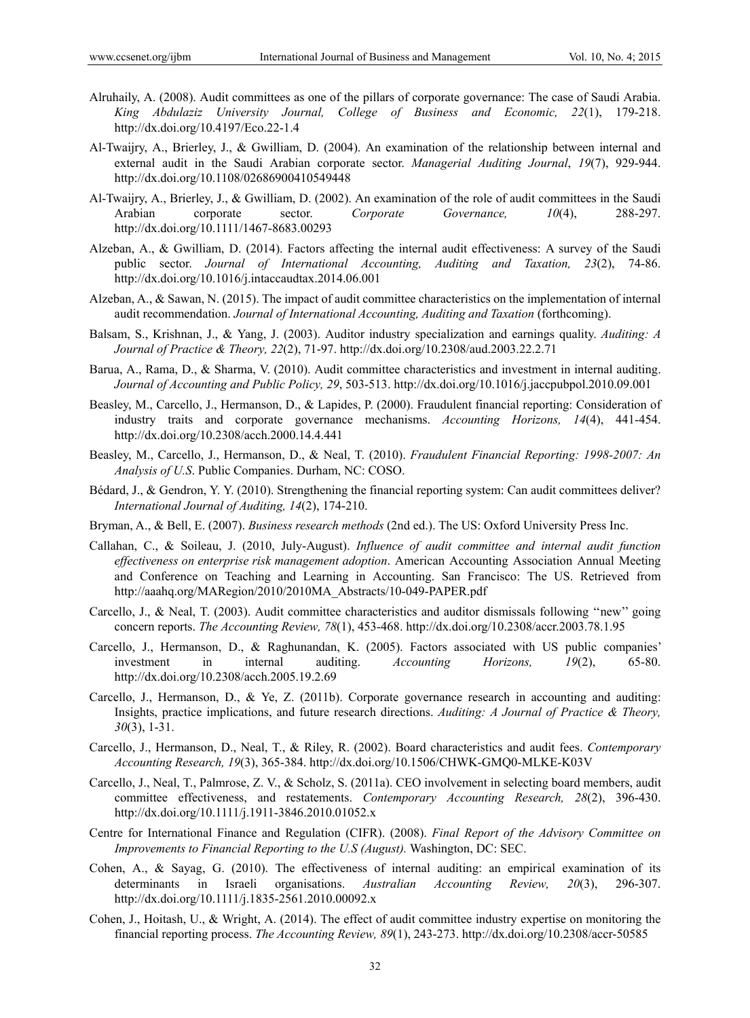- Alruhaily, A. (2008). Audit committees as one of the pillars of corporate governance: The case of Saudi Arabia. *King Abdulaziz University Journal, College of Business and Economic, 22*(1), 179-218. http://dx.doi.org/10.4197/Eco.22-1.4
- Al-Twaijry, A., Brierley, J., & Gwilliam, D. (2004). An examination of the relationship between internal and external audit in the Saudi Arabian corporate sector. *Managerial Auditing Journal*, *19*(7), 929-944. http://dx.doi.org/10.1108/02686900410549448
- Al-Twaijry, A., Brierley, J., & Gwilliam, D. (2002). An examination of the role of audit committees in the Saudi Arabian corporate sector. *Corporate Governance, 10*(4), 288-297. http://dx.doi.org/10.1111/1467-8683.00293
- Alzeban, A., & Gwilliam, D. (2014). Factors affecting the internal audit effectiveness: A survey of the Saudi public sector. *Journal of International Accounting, Auditing and Taxation, 23*(2), 74-86. http://dx.doi.org/10.1016/j.intaccaudtax.2014.06.001
- Alzeban, A., & Sawan, N. (2015). The impact of audit committee characteristics on the implementation of internal audit recommendation. *Journal of International Accounting, Auditing and Taxation* (forthcoming).
- Balsam, S., Krishnan, J., & Yang, J. (2003). Auditor industry specialization and earnings quality. *Auditing: A Journal of Practice & Theory, 22*(2), 71-97. http://dx.doi.org/10.2308/aud.2003.22.2.71
- Barua, A., Rama, D., & Sharma, V. (2010). Audit committee characteristics and investment in internal auditing. *Journal of Accounting and Public Policy, 29*, 503-513. http://dx.doi.org/10.1016/j.jaccpubpol.2010.09.001
- Beasley, M., Carcello, J., Hermanson, D., & Lapides, P. (2000). Fraudulent financial reporting: Consideration of industry traits and corporate governance mechanisms. *Accounting Horizons, 14*(4), 441-454. http://dx.doi.org/10.2308/acch.2000.14.4.441
- Beasley, M., Carcello, J., Hermanson, D., & Neal, T. (2010). *Fraudulent Financial Reporting: 1998-2007: An Analysis of U.S*. Public Companies. Durham, NC: COSO.
- Bédard, J., & Gendron, Y. Y. (2010). Strengthening the financial reporting system: Can audit committees deliver? *International Journal of Auditing, 14*(2), 174-210.
- Bryman, A., & Bell, E. (2007). *Business research methods* (2nd ed.). The US: Oxford University Press Inc.
- Callahan, C., & Soileau, J. (2010, July-August). *Influence of audit committee and internal audit function effectiveness on enterprise risk management adoption*. American Accounting Association Annual Meeting and Conference on Teaching and Learning in Accounting. San Francisco: The US. Retrieved from http://aaahq.org/MARegion/2010/2010MA\_Abstracts/10-049-PAPER.pdf
- Carcello, J., & Neal, T. (2003). Audit committee characteristics and auditor dismissals following ''new'' going concern reports. *The Accounting Review, 78*(1), 453-468. http://dx.doi.org/10.2308/accr.2003.78.1.95
- Carcello, J., Hermanson, D., & Raghunandan, K. (2005). Factors associated with US public companies' investment in internal auditing. *Accounting Horizons, 19*(2), 65-80. http://dx.doi.org/10.2308/acch.2005.19.2.69
- Carcello, J., Hermanson, D., & Ye, Z. (2011b). Corporate governance research in accounting and auditing: Insights, practice implications, and future research directions. *Auditing: A Journal of Practice & Theory, 30*(3), 1-31.
- Carcello, J., Hermanson, D., Neal, T., & Riley, R. (2002). Board characteristics and audit fees. *Contemporary Accounting Research, 19*(3), 365-384. http://dx.doi.org/10.1506/CHWK-GMQ0-MLKE-K03V
- Carcello, J., Neal, T., Palmrose, Z. V., & Scholz, S. (2011a). CEO involvement in selecting board members, audit committee effectiveness, and restatements. *Contemporary Accounting Research, 28*(2), 396-430. http://dx.doi.org/10.1111/j.1911-3846.2010.01052.x
- Centre for International Finance and Regulation (CIFR). (2008). *Final Report of the Advisory Committee on Improvements to Financial Reporting to the U.S (August).* Washington, DC: SEC.
- Cohen, A., & Sayag, G. (2010). The effectiveness of internal auditing: an empirical examination of its determinants in Israeli organisations. *Australian Accounting Review, 20*(3), 296-307. http://dx.doi.org/10.1111/j.1835-2561.2010.00092.x
- Cohen, J., Hoitash, U., & Wright, A. (2014). The effect of audit committee industry expertise on monitoring the financial reporting process. *The Accounting Review, 89*(1), 243-273. http://dx.doi.org/10.2308/accr-50585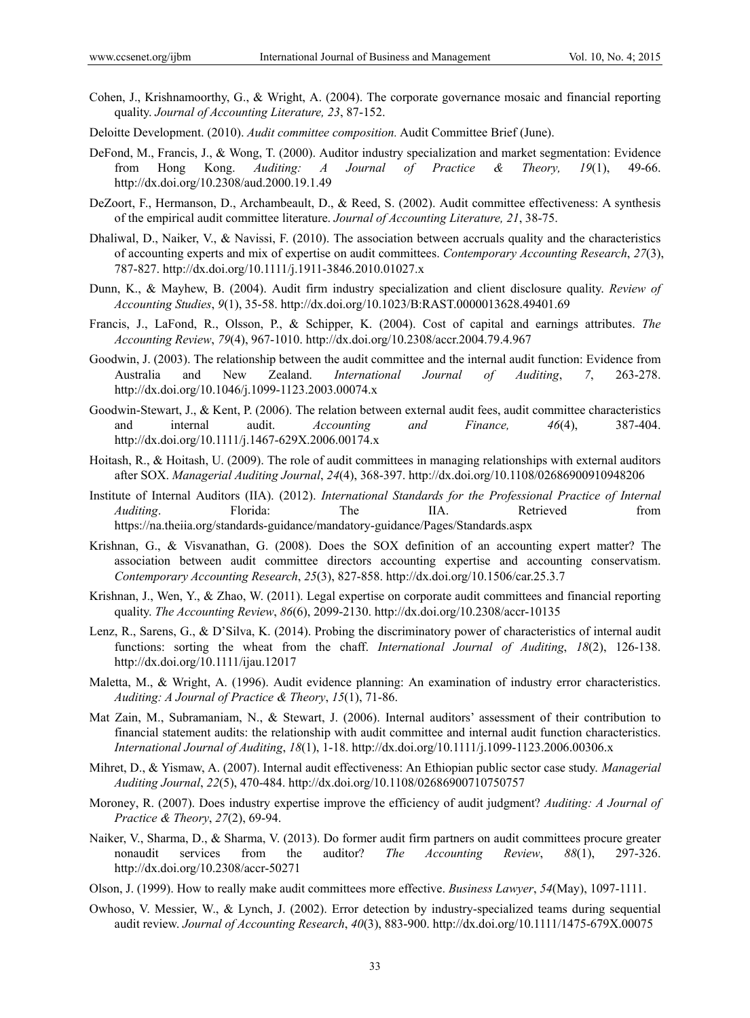- Cohen, J., Krishnamoorthy, G., & Wright, A. (2004). The corporate governance mosaic and financial reporting quality. *Journal of Accounting Literature, 23*, 87-152.
- Deloitte Development. (2010). *Audit committee composition.* Audit Committee Brief (June).
- DeFond, M., Francis, J., & Wong, T. (2000). Auditor industry specialization and market segmentation: Evidence from Hong Kong. *Auditing: A Journal of Practice & Theory, 19*(1), 49-66. http://dx.doi.org/10.2308/aud.2000.19.1.49
- DeZoort, F., Hermanson, D., Archambeault, D., & Reed, S. (2002). Audit committee effectiveness: A synthesis of the empirical audit committee literature. *Journal of Accounting Literature, 21*, 38-75.
- Dhaliwal, D., Naiker, V., & Navissi, F. (2010). The association between accruals quality and the characteristics of accounting experts and mix of expertise on audit committees. *Contemporary Accounting Research*, *27*(3), 787-827. http://dx.doi.org/10.1111/j.1911-3846.2010.01027.x
- Dunn, K., & Mayhew, B. (2004). Audit firm industry specialization and client disclosure quality. *Review of Accounting Studies*, *9*(1), 35-58. http://dx.doi.org/10.1023/B:RAST.0000013628.49401.69
- Francis, J., LaFond, R., Olsson, P., & Schipper, K. (2004). Cost of capital and earnings attributes. *The Accounting Review*, *79*(4), 967-1010. http://dx.doi.org/10.2308/accr.2004.79.4.967
- Goodwin, J. (2003). The relationship between the audit committee and the internal audit function: Evidence from Australia and New Zealand. *International Journal of Auditing*, *7*, 263-278. http://dx.doi.org/10.1046/j.1099-1123.2003.00074.x
- Goodwin-Stewart, J., & Kent, P. (2006). The relation between external audit fees, audit committee characteristics and internal audit. *Accounting and Finance, 46*(4), 387-404. http://dx.doi.org/10.1111/j.1467-629X.2006.00174.x
- Hoitash, R., & Hoitash, U. (2009). The role of audit committees in managing relationships with external auditors after SOX. *Managerial Auditing Journal*, *24*(4), 368-397. http://dx.doi.org/10.1108/02686900910948206
- Institute of Internal Auditors (IIA). (2012). *International Standards for the Professional Practice of Internal Auditing.* Florida: The IIA. Retrieved from https://na.theiia.org/standards-guidance/mandatory-guidance/Pages/Standards.aspx
- Krishnan, G., & Visvanathan, G. (2008). Does the SOX definition of an accounting expert matter? The association between audit committee directors accounting expertise and accounting conservatism. *Contemporary Accounting Research*, *25*(3), 827-858. http://dx.doi.org/10.1506/car.25.3.7
- Krishnan, J., Wen, Y., & Zhao, W. (2011). Legal expertise on corporate audit committees and financial reporting quality. *The Accounting Review*, *86*(6), 2099-2130. http://dx.doi.org/10.2308/accr-10135
- Lenz, R., Sarens, G., & D'Silva, K. (2014). Probing the discriminatory power of characteristics of internal audit functions: sorting the wheat from the chaff. *International Journal of Auditing*, *18*(2), 126-138. http://dx.doi.org/10.1111/ijau.12017
- Maletta, M., & Wright, A. (1996). Audit evidence planning: An examination of industry error characteristics. *Auditing: A Journal of Practice & Theory*, *15*(1), 71-86.
- Mat Zain, M., Subramaniam, N., & Stewart, J. (2006). Internal auditors' assessment of their contribution to financial statement audits: the relationship with audit committee and internal audit function characteristics. *International Journal of Auditing*, *18*(1), 1-18. http://dx.doi.org/10.1111/j.1099-1123.2006.00306.x
- Mihret, D., & Yismaw, A. (2007). Internal audit effectiveness: An Ethiopian public sector case study. *Managerial Auditing Journal*, *22*(5), 470-484. http://dx.doi.org/10.1108/02686900710750757
- Moroney, R. (2007). Does industry expertise improve the efficiency of audit judgment? *Auditing: A Journal of Practice & Theory*, *27*(2), 69-94.
- Naiker, V., Sharma, D., & Sharma, V. (2013). Do former audit firm partners on audit committees procure greater nonaudit services from the auditor? *The Accounting Review*, *88*(1), 297-326. http://dx.doi.org/10.2308/accr-50271
- Olson, J. (1999). How to really make audit committees more effective. *Business Lawyer*, *54*(May), 1097-1111.
- Owhoso, V. Messier, W., & Lynch, J. (2002). Error detection by industry-specialized teams during sequential audit review. *Journal of Accounting Research*, *40*(3), 883-900. http://dx.doi.org/10.1111/1475-679X.00075